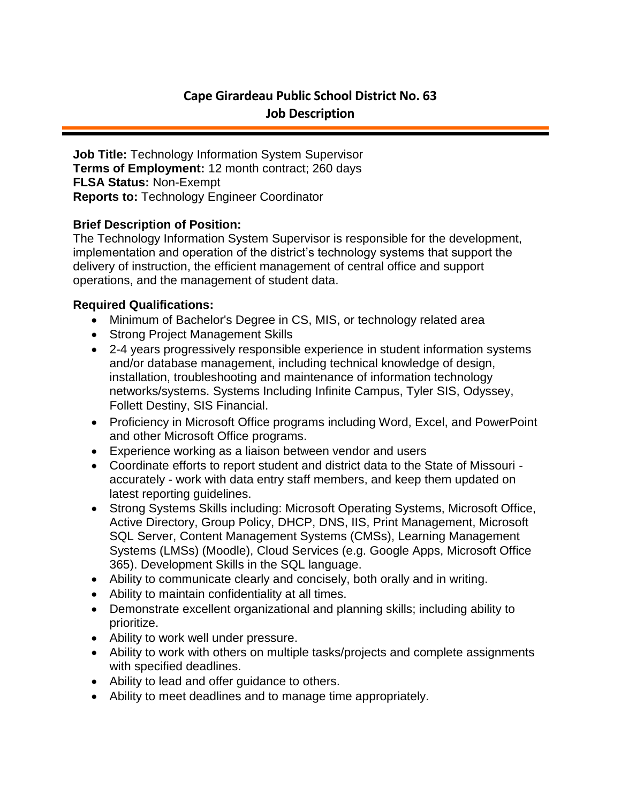# **Cape Girardeau Public School District No. 63 Job Description**

**Job Title:** Technology Information System Supervisor **Terms of Employment:** 12 month contract; 260 days **FLSA Status:** Non-Exempt **Reports to:** Technology Engineer Coordinator

### **Brief Description of Position:**

The Technology Information System Supervisor is responsible for the development, implementation and operation of the district's technology systems that support the delivery of instruction, the efficient management of central office and support operations, and the management of student data.

#### **Required Qualifications:**

- Minimum of Bachelor's Degree in CS, MIS, or technology related area
- Strong Project Management Skills
- 2-4 years progressively responsible experience in student information systems and/or database management, including technical knowledge of design, installation, troubleshooting and maintenance of information technology networks/systems. Systems Including Infinite Campus, Tyler SIS, Odyssey, Follett Destiny, SIS Financial.
- Proficiency in Microsoft Office programs including Word, Excel, and PowerPoint and other Microsoft Office programs.
- Experience working as a liaison between vendor and users
- Coordinate efforts to report student and district data to the State of Missouri accurately - work with data entry staff members, and keep them updated on latest reporting guidelines.
- Strong Systems Skills including: Microsoft Operating Systems, Microsoft Office, Active Directory, Group Policy, DHCP, DNS, IIS, Print Management, Microsoft SQL Server, Content Management Systems (CMSs), Learning Management Systems (LMSs) (Moodle), Cloud Services (e.g. Google Apps, Microsoft Office 365). Development Skills in the SQL language.
- Ability to communicate clearly and concisely, both orally and in writing.
- Ability to maintain confidentiality at all times.
- Demonstrate excellent organizational and planning skills; including ability to prioritize.
- Ability to work well under pressure.
- Ability to work with others on multiple tasks/projects and complete assignments with specified deadlines.
- Ability to lead and offer guidance to others.
- Ability to meet deadlines and to manage time appropriately.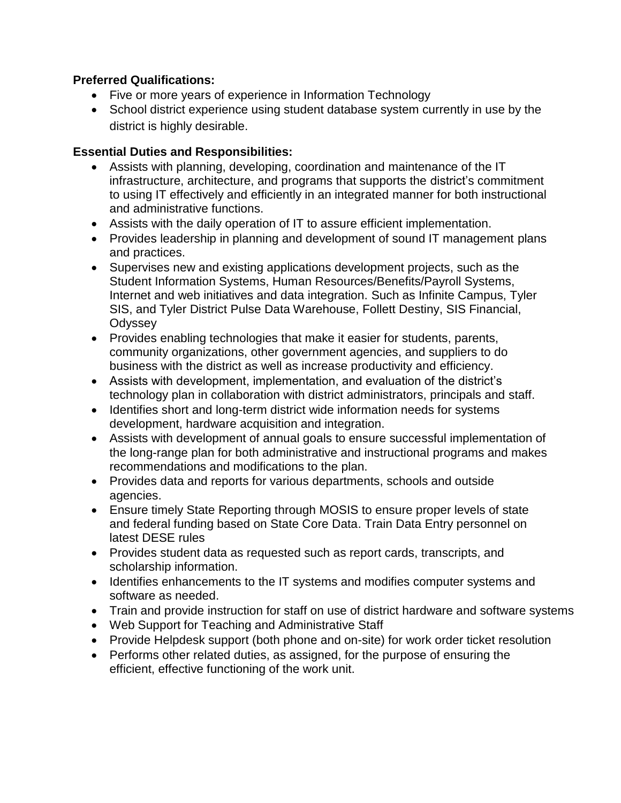# **Preferred Qualifications:**

- Five or more years of experience in Information Technology
- School district experience using student database system currently in use by the district is highly desirable.

## **Essential Duties and Responsibilities:**

- Assists with planning, developing, coordination and maintenance of the IT infrastructure, architecture, and programs that supports the district's commitment to using IT effectively and efficiently in an integrated manner for both instructional and administrative functions.
- Assists with the daily operation of IT to assure efficient implementation.
- Provides leadership in planning and development of sound IT management plans and practices.
- Supervises new and existing applications development projects, such as the Student Information Systems, Human Resources/Benefits/Payroll Systems, Internet and web initiatives and data integration. Such as Infinite Campus, Tyler SIS, and Tyler District Pulse Data Warehouse, Follett Destiny, SIS Financial, **Odyssey**
- Provides enabling technologies that make it easier for students, parents, community organizations, other government agencies, and suppliers to do business with the district as well as increase productivity and efficiency.
- Assists with development, implementation, and evaluation of the district's technology plan in collaboration with district administrators, principals and staff.
- Identifies short and long-term district wide information needs for systems development, hardware acquisition and integration.
- Assists with development of annual goals to ensure successful implementation of the long-range plan for both administrative and instructional programs and makes recommendations and modifications to the plan.
- Provides data and reports for various departments, schools and outside agencies.
- Ensure timely State Reporting through MOSIS to ensure proper levels of state and federal funding based on State Core Data. Train Data Entry personnel on latest DESE rules
- Provides student data as requested such as report cards, transcripts, and scholarship information.
- Identifies enhancements to the IT systems and modifies computer systems and software as needed.
- Train and provide instruction for staff on use of district hardware and software systems
- Web Support for Teaching and Administrative Staff
- Provide Helpdesk support (both phone and on-site) for work order ticket resolution
- Performs other related duties, as assigned, for the purpose of ensuring the efficient, effective functioning of the work unit.